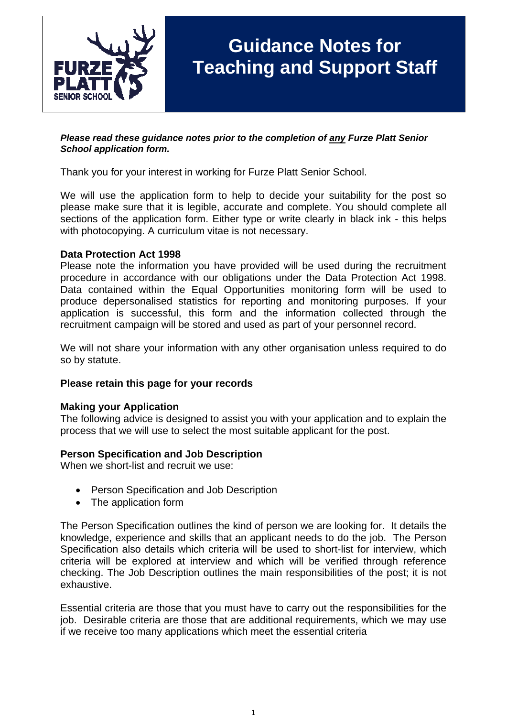

# **Guidance Notes for Teaching and Support Staff**

#### *Please read these guidance notes prior to the completion of any Furze Platt Senior School application form.*

Thank you for your interest in working for Furze Platt Senior School.

We will use the application form to help to decide your suitability for the post so please make sure that it is legible, accurate and complete. You should complete all sections of the application form. Either type or write clearly in black ink - this helps with photocopying. A curriculum vitae is not necessary.

## **Data Protection Act 1998**

Please note the information you have provided will be used during the recruitment procedure in accordance with our obligations under the Data Protection Act 1998. Data contained within the Equal Opportunities monitoring form will be used to produce depersonalised statistics for reporting and monitoring purposes. If your application is successful, this form and the information collected through the recruitment campaign will be stored and used as part of your personnel record.

We will not share your information with any other organisation unless required to do so by statute.

#### **Please retain this page for your records**

#### **Making your Application**

The following advice is designed to assist you with your application and to explain the process that we will use to select the most suitable applicant for the post.

#### **Person Specification and Job Description**

When we short-list and recruit we use:

- Person Specification and Job Description
- The application form

The Person Specification outlines the kind of person we are looking for. It details the knowledge, experience and skills that an applicant needs to do the job. The Person Specification also details which criteria will be used to short-list for interview, which criteria will be explored at interview and which will be verified through reference checking. The Job Description outlines the main responsibilities of the post; it is not exhaustive.

Essential criteria are those that you must have to carry out the responsibilities for the job. Desirable criteria are those that are additional requirements, which we may use if we receive too many applications which meet the essential criteria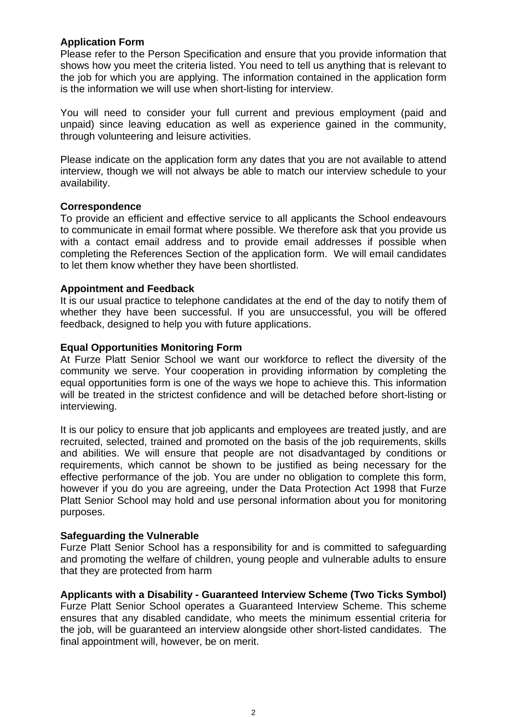## **Application Form**

Please refer to the Person Specification and ensure that you provide information that shows how you meet the criteria listed. You need to tell us anything that is relevant to the job for which you are applying. The information contained in the application form is the information we will use when short-listing for interview.

You will need to consider your full current and previous employment (paid and unpaid) since leaving education as well as experience gained in the community, through volunteering and leisure activities.

Please indicate on the application form any dates that you are not available to attend interview, though we will not always be able to match our interview schedule to your availability.

## **Correspondence**

To provide an efficient and effective service to all applicants the School endeavours to communicate in email format where possible. We therefore ask that you provide us with a contact email address and to provide email addresses if possible when completing the References Section of the application form. We will email candidates to let them know whether they have been shortlisted.

## **Appointment and Feedback**

It is our usual practice to telephone candidates at the end of the day to notify them of whether they have been successful. If you are unsuccessful, you will be offered feedback, designed to help you with future applications.

## **Equal Opportunities Monitoring Form**

At Furze Platt Senior School we want our workforce to reflect the diversity of the community we serve. Your cooperation in providing information by completing the equal opportunities form is one of the ways we hope to achieve this. This information will be treated in the strictest confidence and will be detached before short-listing or interviewing.

It is our policy to ensure that job applicants and employees are treated justly, and are recruited, selected, trained and promoted on the basis of the job requirements, skills and abilities. We will ensure that people are not disadvantaged by conditions or requirements, which cannot be shown to be justified as being necessary for the effective performance of the job. You are under no obligation to complete this form, however if you do you are agreeing, under the Data Protection Act 1998 that Furze Platt Senior School may hold and use personal information about you for monitoring purposes.

#### **Safeguarding the Vulnerable**

Furze Platt Senior School has a responsibility for and is committed to safeguarding and promoting the welfare of children, young people and vulnerable adults to ensure that they are protected from harm

## **Applicants with a Disability - Guaranteed Interview Scheme (Two Ticks Symbol)**

Furze Platt Senior School operates a Guaranteed Interview Scheme. This scheme ensures that any disabled candidate, who meets the minimum essential criteria for the job, will be guaranteed an interview alongside other short-listed candidates. The final appointment will, however, be on merit.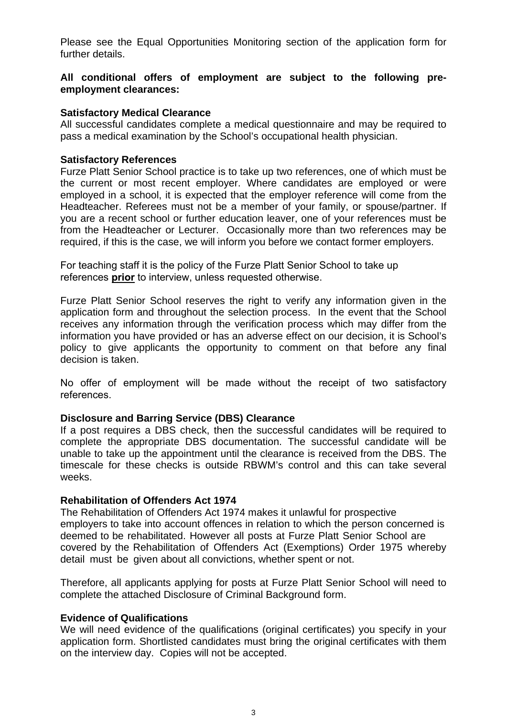Please see the Equal Opportunities Monitoring section of the application form for further details.

## **All conditional offers of employment are subject to the following preemployment clearances:**

## **Satisfactory Medical Clearance**

All successful candidates complete a medical questionnaire and may be required to pass a medical examination by the School's occupational health physician.

## **Satisfactory References**

Furze Platt Senior School practice is to take up two references, one of which must be the current or most recent employer. Where candidates are employed or were employed in a school, it is expected that the employer reference will come from the Headteacher. Referees must not be a member of your family, or spouse/partner. If you are a recent school or further education leaver, one of your references must be from the Headteacher or Lecturer. Occasionally more than two references may be required, if this is the case, we will inform you before we contact former employers.

For teaching staff it is the policy of the Furze Platt Senior School to take up references **prior** to interview, unless requested otherwise.

Furze Platt Senior School reserves the right to verify any information given in the application form and throughout the selection process. In the event that the School receives any information through the verification process which may differ from the information you have provided or has an adverse effect on our decision, it is School's policy to give applicants the opportunity to comment on that before any final decision is taken.

No offer of employment will be made without the receipt of two satisfactory references.

#### **Disclosure and Barring Service (DBS) Clearance**

If a post requires a DBS check, then the successful candidates will be required to complete the appropriate DBS documentation. The successful candidate will be unable to take up the appointment until the clearance is received from the DBS. The timescale for these checks is outside RBWM's control and this can take several weeks.

#### **Rehabilitation of Offenders Act 1974**

The Rehabilitation of Offenders Act 1974 makes it unlawful for prospective employers to take into account offences in relation to which the person concerned is deemed to be rehabilitated. However all posts at Furze Platt Senior School are covered by the Rehabilitation of Offenders Act (Exemptions) Order 1975 whereby detail must be given about all convictions, whether spent or not.

Therefore, all applicants applying for posts at Furze Platt Senior School will need to complete the attached Disclosure of Criminal Background form.

#### **Evidence of Qualifications**

We will need evidence of the qualifications (original certificates) you specify in your application form. Shortlisted candidates must bring the original certificates with them on the interview day. Copies will not be accepted.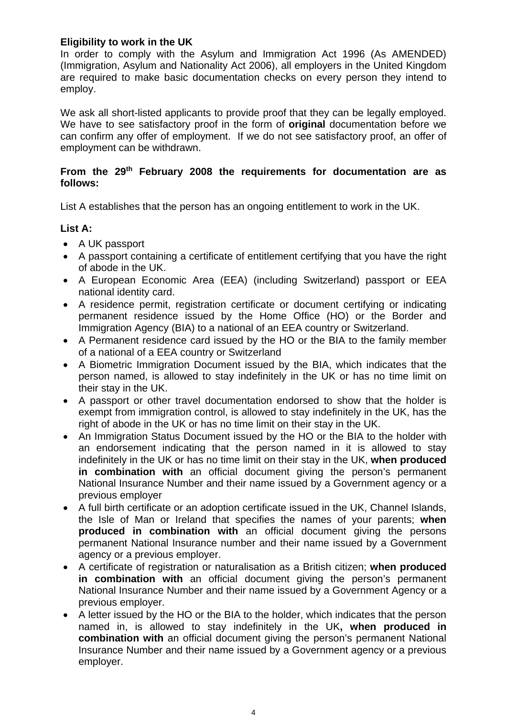## **Eligibility to work in the UK**

In order to comply with the Asylum and Immigration Act 1996 (As AMENDED) (Immigration, Asylum and Nationality Act 2006), all employers in the United Kingdom are required to make basic documentation checks on every person they intend to employ.

We ask all short-listed applicants to provide proof that they can be legally employed. We have to see satisfactory proof in the form of **original** documentation before we can confirm any offer of employment. If we do not see satisfactory proof, an offer of employment can be withdrawn.

## **From the 29th February 2008 the requirements for documentation are as follows:**

List A establishes that the person has an ongoing entitlement to work in the UK.

# **List A:**

- A UK passport
- A passport containing a certificate of entitlement certifying that you have the right of abode in the UK.
- A European Economic Area (EEA) (including Switzerland) passport or EEA national identity card.
- A residence permit, registration certificate or document certifying or indicating permanent residence issued by the Home Office (HO) or the Border and Immigration Agency (BIA) to a national of an EEA country or Switzerland.
- A Permanent residence card issued by the HO or the BIA to the family member of a national of a EEA country or Switzerland
- A Biometric Immigration Document issued by the BIA, which indicates that the person named, is allowed to stay indefinitely in the UK or has no time limit on their stay in the UK.
- A passport or other travel documentation endorsed to show that the holder is exempt from immigration control, is allowed to stay indefinitely in the UK, has the right of abode in the UK or has no time limit on their stay in the UK.
- An Immigration Status Document issued by the HO or the BIA to the holder with an endorsement indicating that the person named in it is allowed to stay indefinitely in the UK or has no time limit on their stay in the UK, **when produced in combination with** an official document giving the person's permanent National Insurance Number and their name issued by a Government agency or a previous employer
- A full birth certificate or an adoption certificate issued in the UK, Channel Islands, the Isle of Man or Ireland that specifies the names of your parents; **when produced in combination with** an official document giving the persons permanent National Insurance number and their name issued by a Government agency or a previous employer.
- A certificate of registration or naturalisation as a British citizen; **when produced in combination with** an official document giving the person's permanent National Insurance Number and their name issued by a Government Agency or a previous employer.
- A letter issued by the HO or the BIA to the holder, which indicates that the person named in, is allowed to stay indefinitely in the UK**, when produced in combination with** an official document giving the person's permanent National Insurance Number and their name issued by a Government agency or a previous employer.